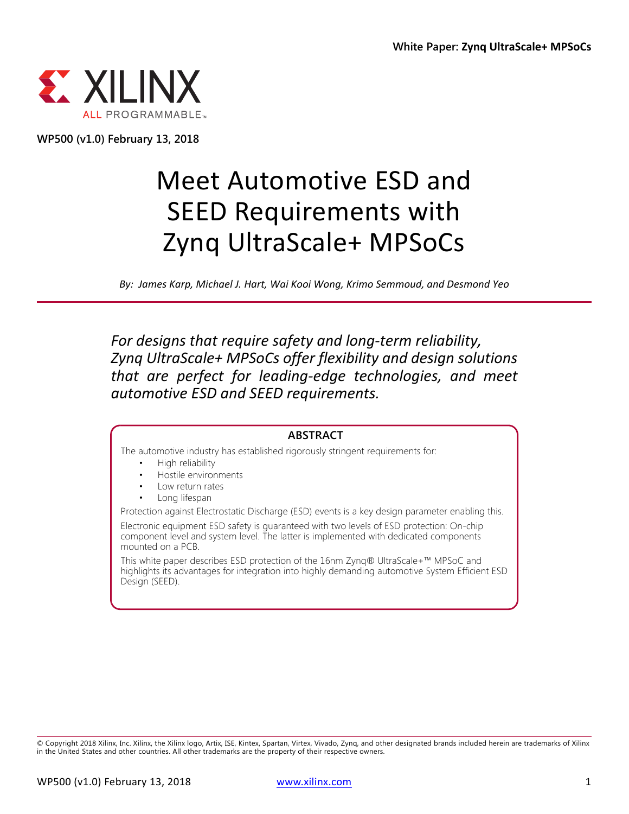

**WP500 (v1.0) February 13, 2018**

# Meet Automotive ESD and SEED Requirements with Zynq UltraScale+ MPSoCs

*By: James Karp, Michael J. Hart, Wai Kooi Wong, Krimo Semmoud, and Desmond Yeo*

*For designs that require safety and long-term reliability, Zynq UltraScale+ MPSoCs offer flexibility and design solutions that are perfect for leading-edge technologies, and meet automotive ESD and SEED requirements.* 

#### **ABSTRACT**

The automotive industry has established rigorously stringent requirements for:

- High reliability
- Hostile environments
- Low return rates
- Long lifespan

Protection against Electrostatic Discharge (ESD) events is a key design parameter enabling this.

Electronic equipment ESD safety is guaranteed with two levels of ESD protection: On-chip component level and system level. The latter is implemented with dedicated components mounted on a PCB.

This white paper describes ESD protection of the 16nm Zynq® UltraScale+™ MPSoC and highlights its advantages for integration into highly demanding automotive System Efficient ESD Design (SEED).

© Copyright 2018 Xilinx, Inc. Xilinx, the Xilinx logo, Artix, ISE, Kintex, Spartan, Virtex, Vivado, Zynq, and other designated brands included herein are trademarks of Xilinx in the United States and other countries. All other trademarks are the property of their respective owners.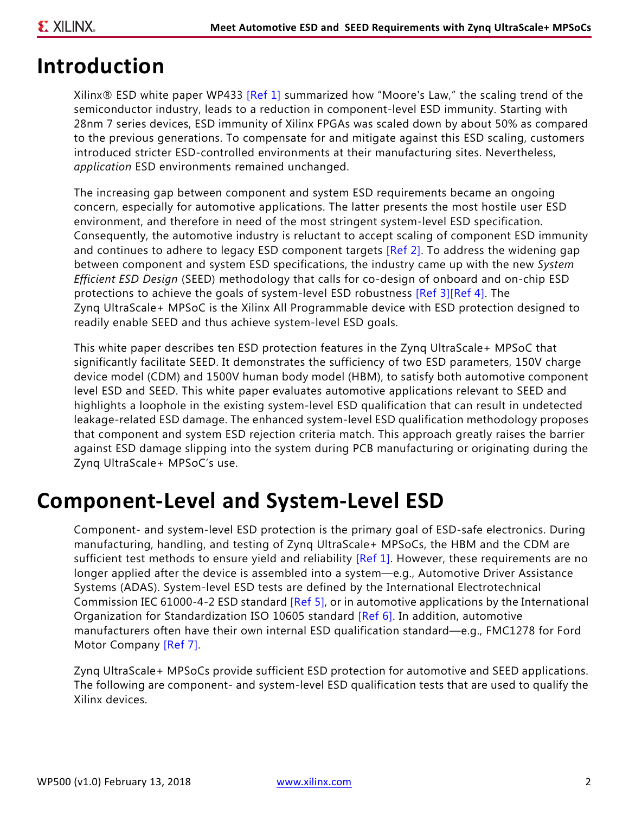### **Introduction**

Xilinx® ESD white paper WP433 [\[Ref 1\]](#page-10-0) summarized how "Moore's Law," the scaling trend of the semiconductor industry, leads to a reduction in component-level ESD immunity. Starting with 28nm 7 series devices, ESD immunity of Xilinx FPGAs was scaled down by about 50% as compared to the previous generations. To compensate for and mitigate against this ESD scaling, customers introduced stricter ESD-controlled environments at their manufacturing sites. Nevertheless, *application* ESD environments remained unchanged.

The increasing gap between component and system ESD requirements became an ongoing concern, especially for automotive applications. The latter presents the most hostile user ESD environment, and therefore in need of the most stringent system-level ESD specification. Consequently, the automotive industry is reluctant to accept scaling of component ESD immunity and continues to adhere to legacy ESD component targets [\[Ref 2\].](#page-10-6) To address the widening gap between component and system ESD specifications, the industry came up with the new *System Efficient ESD Design* (SEED) methodology that calls for co-design of onboard and on-chip ESD protections to achieve the goals of system-level ESD robustness [\[Ref 3\]](#page-10-1)[\[Ref 4\]](#page-10-2). The Zynq UltraScale+ MPSoC is the Xilinx All Programmable device with ESD protection designed to readily enable SEED and thus achieve system-level ESD goals.

This white paper describes ten ESD protection features in the Zynq UltraScale+ MPSoC that significantly facilitate SEED. It demonstrates the sufficiency of two ESD parameters, 150V charge device model (CDM) and 1500V human body model (HBM), to satisfy both automotive component level ESD and SEED. This white paper evaluates automotive applications relevant to SEED and highlights a loophole in the existing system-level ESD qualification that can result in undetected leakage-related ESD damage. The enhanced system-level ESD qualification methodology proposes that component and system ESD rejection criteria match. This approach greatly raises the barrier against ESD damage slipping into the system during PCB manufacturing or originating during the Zynq UltraScale+ MPSoC's use.

### **Component-Level and System-Level ESD**

Component- and system-level ESD protection is the primary goal of ESD-safe electronics. During manufacturing, handling, and testing of Zynq UltraScale+ MPSoCs, the HBM and the CDM are sufficient test methods to ensure yield and reliability [\[Ref 1\]](#page-10-0). However, these requirements are no longer applied after the device is assembled into a system—e.g., Automotive Driver Assistance Systems (ADAS). System-level ESD tests are defined by the International Electrotechnical Commission IEC 61000-4-2 ESD standard [\[Ref 5\]](#page-10-3), or in automotive applications by the International Organization for Standardization ISO 10605 standard [\[Ref 6\]](#page-10-4). In addition, automotive manufacturers often have their own internal ESD qualification standard—e.g., FMC1278 for Ford Motor Company [\[Ref 7\].](#page-10-5)

Zynq UltraScale+ MPSoCs provide sufficient ESD protection for automotive and SEED applications. The following are component- and system-level ESD qualification tests that are used to qualify the Xilinx devices.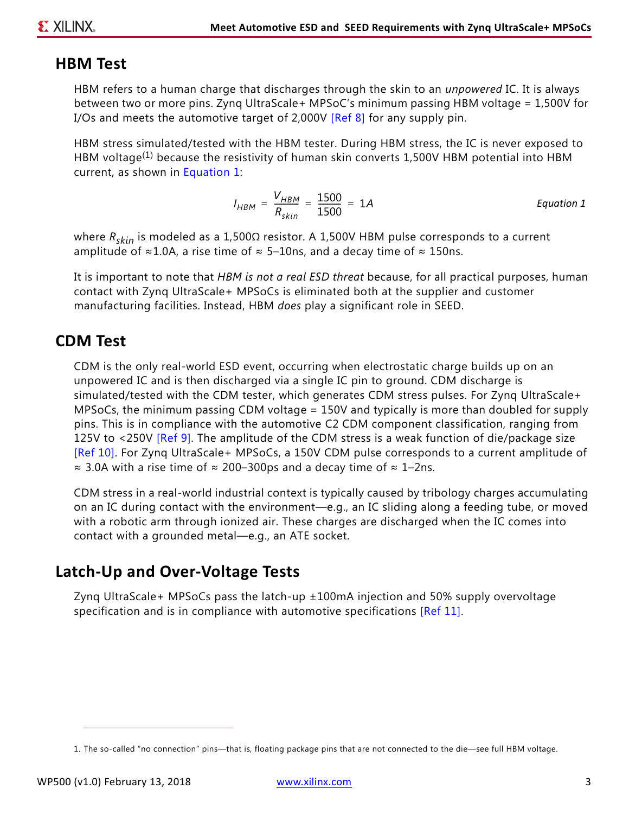#### **HBM Test**

HBM refers to a human charge that discharges through the skin to an *unpowered* IC. It is always between two or more pins. Zynq UltraScale+ MPSoC's minimum passing HBM voltage = 1,500V for I/Os and meets the automotive target of 2,000V [\[Ref 8\]](#page-10-9) for any supply pin.

HBM stress simulated/tested with the HBM tester. During HBM stress, the IC is never exposed to HBM voltage<sup>(1)</sup> because the resistivity of human skin converts 1,500V HBM potential into HBM current, as shown in [Equation 1:](#page-2-0)

$$
I_{HBM} = \frac{V_{HBM}}{R_{skin}} = \frac{1500}{1500} = 1A
$$
 *Equation 1*

<span id="page-2-0"></span>where *Rskin* is modeled as a 1,500Ω resistor. A 1,500V HBM pulse corresponds to a current amplitude of ≈1.0A, a rise time of  $\approx$  5–10ns, and a decay time of  $\approx$  150ns.

It is important to note that *HBM is not a real ESD threat* because, for all practical purposes, human contact with Zynq UltraScale+ MPSoCs is eliminated both at the supplier and customer manufacturing facilities. Instead, HBM *does* play a significant role in SEED.

#### **CDM Test**

CDM is the only real-world ESD event, occurring when electrostatic charge builds up on an unpowered IC and is then discharged via a single IC pin to ground. CDM discharge is simulated/tested with the CDM tester, which generates CDM stress pulses. For Zynq UltraScale+ MPSoCs, the minimum passing CDM voltage = 150V and typically is more than doubled for supply pins. This is in compliance with the automotive C2 CDM component classification, ranging from 125V to <250V [\[Ref 9\]](#page-10-7). The amplitude of the CDM stress is a weak function of die/package size [\[Ref 10\].](#page-10-10) For Zynq UltraScale+ MPSoCs, a 150V CDM pulse corresponds to a current amplitude of ≈ 3.0A with a rise time of ≈ 200–300ps and a decay time of ≈ 1–2ns.

CDM stress in a real-world industrial context is typically caused by tribology charges accumulating on an IC during contact with the environment—e.g., an IC sliding along a feeding tube, or moved with a robotic arm through ionized air. These charges are discharged when the IC comes into contact with a grounded metal—e.g., an ATE socket.

#### **Latch-Up and Over-Voltage Tests**

Zynq UltraScale+ MPSoCs pass the latch-up ±100mA injection and 50% supply overvoltage specification and is in compliance with automotive specifications [\[Ref 11\].](#page-10-8)

<sup>1.</sup> The so-called "no connection" pins—that is, floating package pins that are not connected to the die—see full HBM voltage.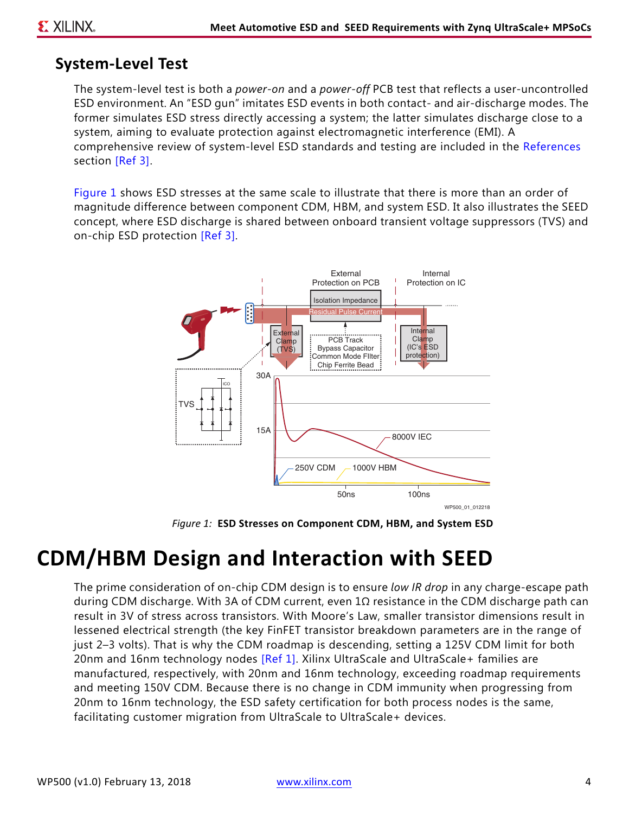#### **System-Level Test**

The system-level test is both a *power-on* and a *power-off* PCB test that reflects a user-uncontrolled ESD environment. An "ESD gun" imitates ESD events in both contact- and air-discharge modes. The former simulates ESD stress directly accessing a system; the latter simulates discharge close to a system, aiming to evaluate protection against electromagnetic interference (EMI). A comprehensive review of system-level ESD standards and testing are included in the [References](#page-10-11) section [\[Ref 3\]](#page-10-1).

<span id="page-3-0"></span>[Figure 1](#page-3-0) shows ESD stresses at the same scale to illustrate that there is more than an order of magnitude difference between component CDM, HBM, and system ESD. It also illustrates the SEED concept, where ESD discharge is shared between onboard transient voltage suppressors (TVS) and on-chip ESD protection [\[Ref 3\]](#page-10-1).



*Figure 1:* **ESD Stresses on Component CDM, HBM, and System ESD** 

### **CDM/HBM Design and Interaction with SEED**

The prime consideration of on-chip CDM design is to ensure *low IR drop* in any charge-escape path during CDM discharge. With 3A of CDM current, even 1Ω resistance in the CDM discharge path can result in 3V of stress across transistors. With Moore's Law, smaller transistor dimensions result in lessened electrical strength (the key FinFET transistor breakdown parameters are in the range of just 2–3 volts). That is why the CDM roadmap is descending, setting a 125V CDM limit for both 20nm and 16nm technology nodes [\[Ref 1\]](#page-10-0). Xilinx UltraScale and UltraScale+ families are manufactured, respectively, with 20nm and 16nm technology, exceeding roadmap requirements and meeting 150V CDM. Because there is no change in CDM immunity when progressing from 20nm to 16nm technology, the ESD safety certification for both process nodes is the same, facilitating customer migration from UltraScale to UltraScale+ devices.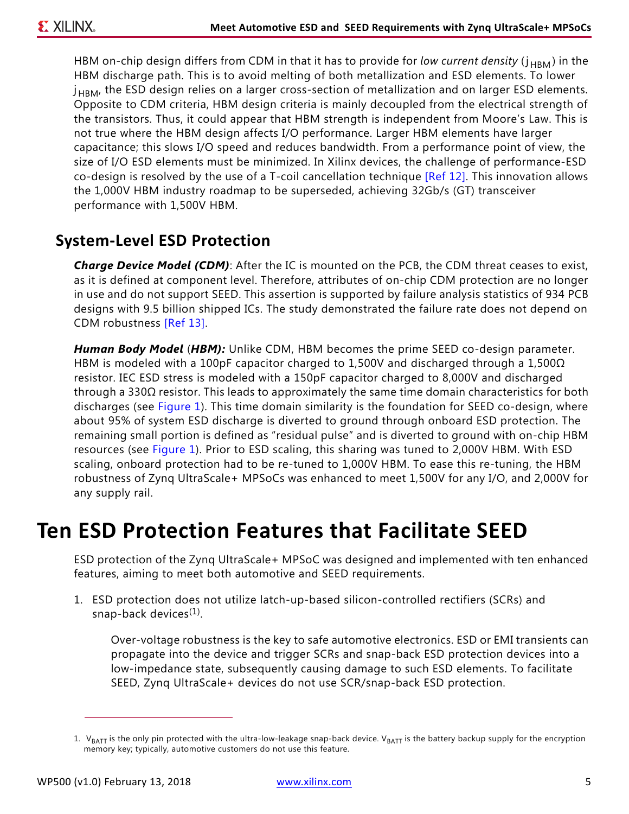HBM on-chip design differs from CDM in that it has to provide for *low current density* ( $j_{HBM}$ ) in the HBM discharge path. This is to avoid melting of both metallization and ESD elements. To lower  $j<sub>HBM</sub>$ , the ESD design relies on a larger cross-section of metallization and on larger ESD elements. Opposite to CDM criteria, HBM design criteria is mainly decoupled from the electrical strength of the transistors. Thus, it could appear that HBM strength is independent from Moore's Law. This is not true where the HBM design affects I/O performance. Larger HBM elements have larger capacitance; this slows I/O speed and reduces bandwidth. From a performance point of view, the size of I/O ESD elements must be minimized. In Xilinx devices, the challenge of performance-ESD co-design is resolved by the use of a T-coil cancellation technique [\[Ref 12\].](#page-10-12) This innovation allows the 1,000V HBM industry roadmap to be superseded, achieving 32Gb/s (GT) transceiver performance with 1,500V HBM.

#### **System-Level ESD Protection**

*Charge Device Model (CDM)*: After the IC is mounted on the PCB, the CDM threat ceases to exist, as it is defined at component level. Therefore, attributes of on-chip CDM protection are no longer in use and do not support SEED. This assertion is supported by failure analysis statistics of 934 PCB designs with 9.5 billion shipped ICs. The study demonstrated the failure rate does not depend on CDM robustness [\[Ref 13\].](#page-10-13)

*Human Body Model* (*HBM):* Unlike CDM, HBM becomes the prime SEED co-design parameter. HBM is modeled with a 100pF capacitor charged to 1,500V and discharged through a 1,500 $\Omega$ resistor. IEC ESD stress is modeled with a 150pF capacitor charged to 8,000V and discharged through a 330Ω resistor. This leads to approximately the same time domain characteristics for both discharges (see [Figure 1\)](#page-3-0). This time domain similarity is the foundation for SEED co-design, where about 95% of system ESD discharge is diverted to ground through onboard ESD protection. The remaining small portion is defined as "residual pulse" and is diverted to ground with on-chip HBM resources (see [Figure 1](#page-3-0)). Prior to ESD scaling, this sharing was tuned to 2,000V HBM. With ESD scaling, onboard protection had to be re-tuned to 1,000V HBM. To ease this re-tuning, the HBM robustness of Zynq UltraScale+ MPSoCs was enhanced to meet 1,500V for any I/O, and 2,000V for any supply rail.

### **Ten ESD Protection Features that Facilitate SEED**

ESD protection of the Zynq UltraScale+ MPSoC was designed and implemented with ten enhanced features, aiming to meet both automotive and SEED requirements.

1. ESD protection does not utilize latch-up-based silicon-controlled rectifiers (SCRs) and snap-back devices $(1)$ .

Over-voltage robustness is the key to safe automotive electronics. ESD or EMI transients can propagate into the device and trigger SCRs and snap-back ESD protection devices into a low-impedance state, subsequently causing damage to such ESD elements. To facilitate SEED, Zynq UltraScale+ devices do not use SCR/snap-back ESD protection.

<sup>1.</sup>  $V_{BAT}$  is the only pin protected with the ultra-low-leakage snap-back device.  $V_{BAT}$  is the battery backup supply for the encryption memory key; typically, automotive customers do not use this feature.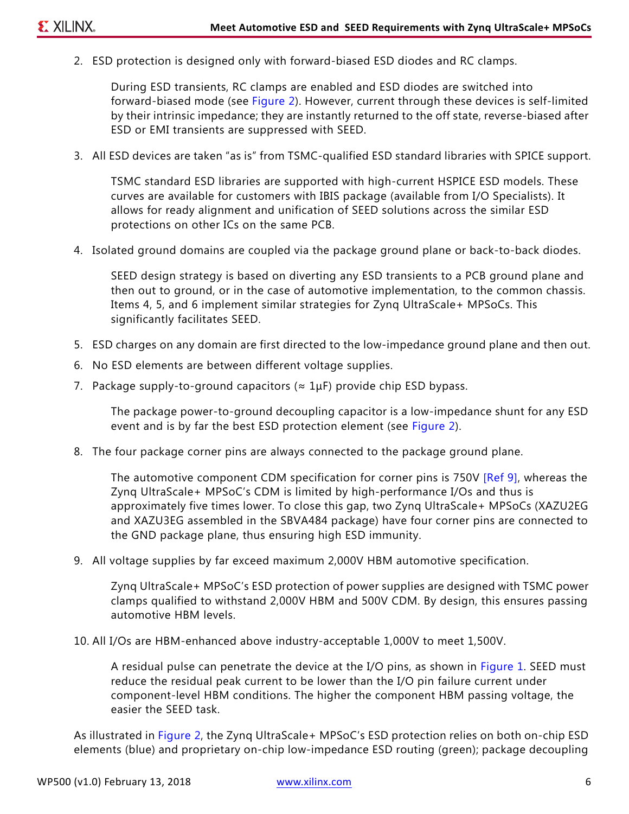2. ESD protection is designed only with forward-biased ESD diodes and RC clamps.

During ESD transients, RC clamps are enabled and ESD diodes are switched into forward-biased mode (see [Figure 2](#page-6-0)). However, current through these devices is self-limited by their intrinsic impedance; they are instantly returned to the off state, reverse-biased after ESD or EMI transients are suppressed with SEED.

3. All ESD devices are taken "as is" from TSMC-qualified ESD standard libraries with SPICE support.

TSMC standard ESD libraries are supported with high-current HSPICE ESD models. These curves are available for customers with IBIS package (available from I/O Specialists). It allows for ready alignment and unification of SEED solutions across the similar ESD protections on other ICs on the same PCB.

4. Isolated ground domains are coupled via the package ground plane or back-to-back diodes.

SEED design strategy is based on diverting any ESD transients to a PCB ground plane and then out to ground, or in the case of automotive implementation, to the common chassis. Items 4, 5, and 6 implement similar strategies for Zynq UltraScale+ MPSoCs. This significantly facilitates SEED.

- 5. ESD charges on any domain are first directed to the low-impedance ground plane and then out.
- 6. No ESD elements are between different voltage supplies.
- 7. Package supply-to-ground capacitors ( $\approx 1 \mu$ F) provide chip ESD bypass.

The package power-to-ground decoupling capacitor is a low-impedance shunt for any ESD event and is by far the best ESD protection element (see [Figure 2](#page-6-0)).

8. The four package corner pins are always connected to the package ground plane.

The automotive component CDM specification for corner pins is 750V [\[Ref 9\]](#page-10-7), whereas the Zynq UltraScale+ MPSoC's CDM is limited by high-performance I/Os and thus is approximately five times lower. To close this gap, two Zynq UltraScale+ MPSoCs (XAZU2EG and XAZU3EG assembled in the SBVA484 package) have four corner pins are connected to the GND package plane, thus ensuring high ESD immunity.

9. All voltage supplies by far exceed maximum 2,000V HBM automotive specification.

Zynq UltraScale+ MPSoC's ESD protection of power supplies are designed with TSMC power clamps qualified to withstand 2,000V HBM and 500V CDM. By design, this ensures passing automotive HBM levels.

10. All I/Os are HBM-enhanced above industry-acceptable 1,000V to meet 1,500V.

A residual pulse can penetrate the device at the I/O pins, as shown in [Figure 1.](#page-3-0) SEED must reduce the residual peak current to be lower than the I/O pin failure current under component-level HBM conditions. The higher the component HBM passing voltage, the easier the SEED task.

As illustrated in [Figure 2,](#page-6-0) the Zynq UltraScale+ MPSoC's ESD protection relies on both on-chip ESD elements (blue) and proprietary on-chip low-impedance ESD routing (green); package decoupling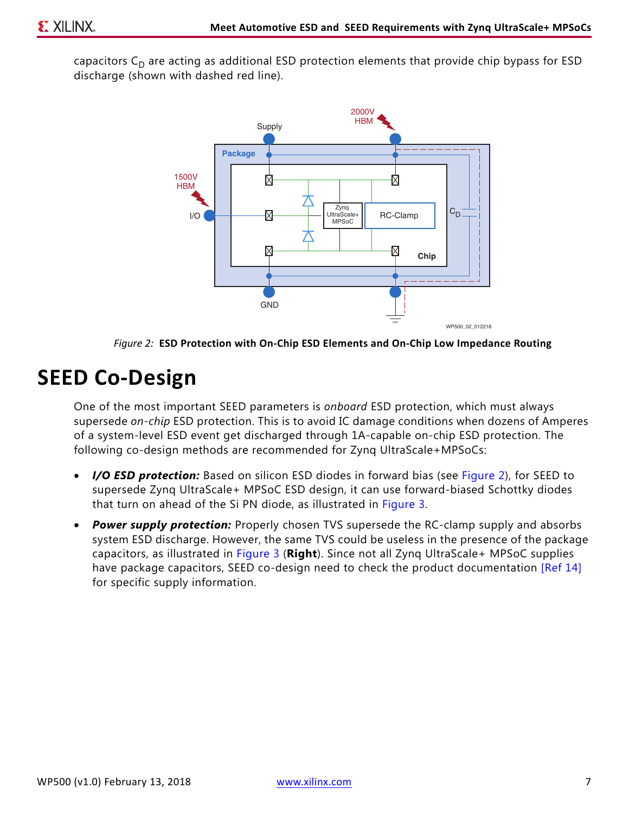<span id="page-6-0"></span>capacitors  $C_D$  are acting as additional ESD protection elements that provide chip bypass for ESD discharge (shown with dashed red line).



*Figure 2:* **ESD Protection with On-Chip ESD Elements and On-Chip Low Impedance Routing**

### **SEED Co-Design**

One of the most important SEED parameters is *onboard* ESD protection, which must always supersede *on-chip* ESD protection. This is to avoid IC damage conditions when dozens of Amperes of a system-level ESD event get discharged through 1A-capable on-chip ESD protection. The following co-design methods are recommended for Zynq UltraScale+MPSoCs:

- **I/O ESD protection:** Based on silicon ESD diodes in forward bias (see [Figure 2\)](#page-6-0), for SEED to supersede Zynq UltraScale+ MPSoC ESD design, it can use forward-biased Schottky diodes that turn on ahead of the Si PN diode, as illustrated in [Figure 3.](#page-7-0)
- *Power supply protection:* Properly chosen TVS supersede the RC-clamp supply and absorbs system ESD discharge. However, the same TVS could be useless in the presence of the package capacitors, as illustrated in [Figure 3](#page-7-0) (**Right**). Since not all Zynq UltraScale+ MPSoC supplies have package capacitors, SEED co-design need to check the product documentation [\[Ref 14\]](#page-10-14) for specific supply information.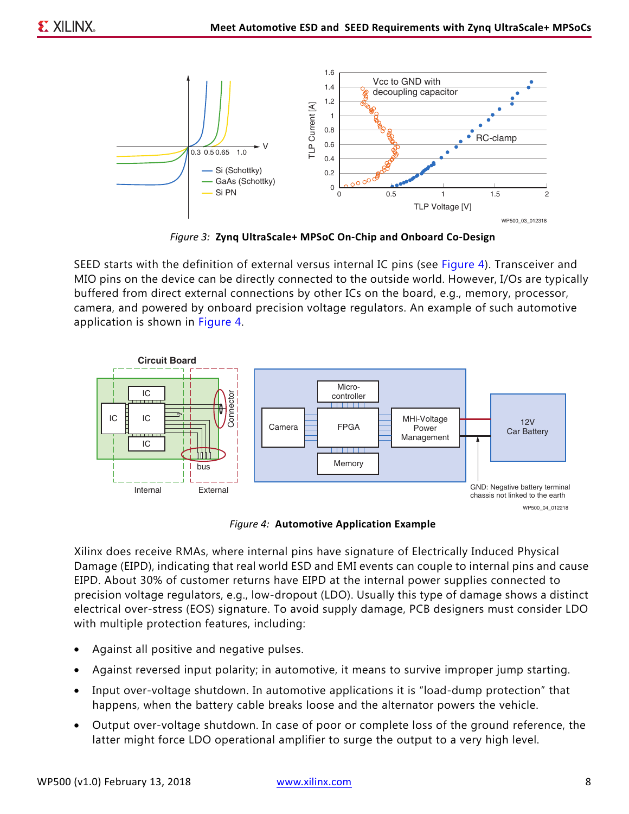<span id="page-7-0"></span>

*Figure 3:* **Zynq UltraScale+ MPSoC On-Chip and Onboard Co-Design**

SEED starts with the definition of external versus internal IC pins (see [Figure 4\)](#page-7-1). Transceiver and MIO pins on the device can be directly connected to the outside world. However, I/Os are typically buffered from direct external connections by other ICs on the board, e.g., memory, processor, camera, and powered by onboard precision voltage regulators. An example of such automotive application is shown in [Figure 4](#page-7-1).

<span id="page-7-1"></span>

*Figure 4:* **Automotive Application Example**

Xilinx does receive RMAs, where internal pins have signature of Electrically Induced Physical Damage (EIPD), indicating that real world ESD and EMI events can couple to internal pins and cause EIPD. About 30% of customer returns have EIPD at the internal power supplies connected to precision voltage regulators, e.g., low-dropout (LDO). Usually this type of damage shows a distinct electrical over-stress (EOS) signature. To avoid supply damage, PCB designers must consider LDO with multiple protection features, including:

- Against all positive and negative pulses.
- Against reversed input polarity; in automotive, it means to survive improper jump starting.
- Input over-voltage shutdown. In automotive applications it is "load-dump protection" that happens, when the battery cable breaks loose and the alternator powers the vehicle.
- Output over-voltage shutdown. In case of poor or complete loss of the ground reference, the latter might force LDO operational amplifier to surge the output to a very high level.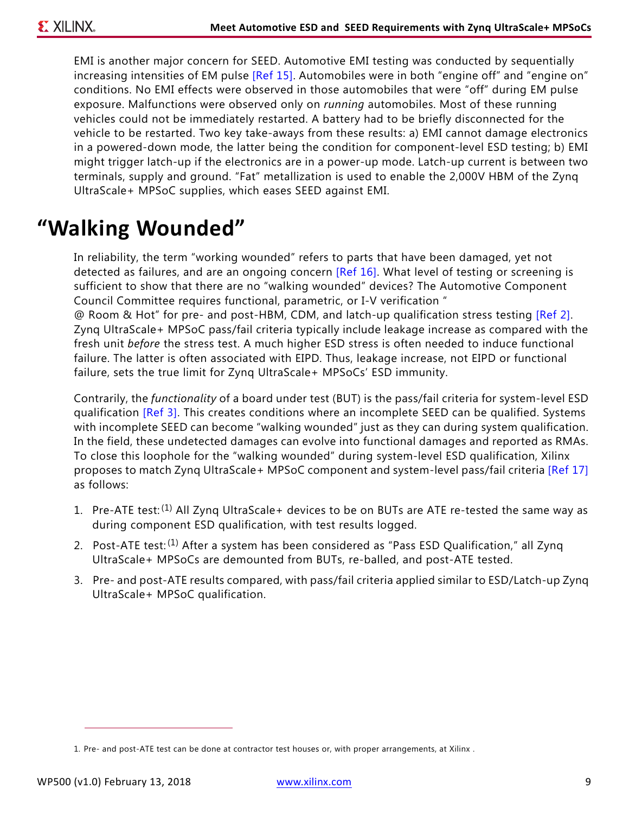EMI is another major concern for SEED. Automotive EMI testing was conducted by sequentially increasing intensities of EM pulse [\[Ref 15\]](#page-10-17). Automobiles were in both "engine off" and "engine on" conditions. No EMI effects were observed in those automobiles that were "off" during EM pulse exposure. Malfunctions were observed only on *running* automobiles. Most of these running vehicles could not be immediately restarted. A battery had to be briefly disconnected for the vehicle to be restarted. Two key take-aways from these results: a) EMI cannot damage electronics in a powered-down mode, the latter being the condition for component-level ESD testing; b) EMI might trigger latch-up if the electronics are in a power-up mode. Latch-up current is between two terminals, supply and ground. "Fat" metallization is used to enable the 2,000V HBM of the Zynq UltraScale+ MPSoC supplies, which eases SEED against EMI.

## **"Walking Wounded"**

In reliability, the term "working wounded" refers to parts that have been damaged, yet not detected as failures, and are an ongoing concern [\[Ref 16\]](#page-10-15). What level of testing or screening is sufficient to show that there are no "walking wounded" devices? The Automotive Component Council Committee requires functional, parametric, or I-V verification "

@ Room & Hot" for pre- and post-HBM, CDM, and latch-up qualification stress testing [\[Ref 2\]](#page-10-6). Zynq UltraScale+ MPSoC pass/fail criteria typically include leakage increase as compared with the fresh unit *before* the stress test. A much higher ESD stress is often needed to induce functional failure. The latter is often associated with EIPD. Thus, leakage increase, not EIPD or functional failure, sets the true limit for Zynq UltraScale+ MPSoCs' ESD immunity.

Contrarily, the *functionality* of a board under test (BUT) is the pass/fail criteria for system-level ESD qualification [\[Ref 3\].](#page-10-1) This creates conditions where an incomplete SEED can be qualified. Systems with incomplete SEED can become "walking wounded" just as they can during system qualification. In the field, these undetected damages can evolve into functional damages and reported as RMAs. To close this loophole for the "walking wounded" during system-level ESD qualification, Xilinx proposes to match Zynq UltraScale+ MPSoC component and system-level pass/fail criteria [\[Ref 17\]](#page-10-16) as follows:

- 1. Pre-ATE test:<sup>(1)</sup> All Zyng UltraScale+ devices to be on BUTs are ATE re-tested the same way as during component ESD qualification, with test results logged.
- 2. Post-ATE test:<sup>(1)</sup> After a system has been considered as "Pass ESD Qualification," all Zyng UltraScale+ MPSoCs are demounted from BUTs, re-balled, and post-ATE tested.
- 3. Pre- and post-ATE results compared, with pass/fail criteria applied similar to ESD/Latch-up Zynq UltraScale+ MPSoC qualification.

<sup>1.</sup> Pre- and post-ATE test can be done at contractor test houses or, with proper arrangements, at Xilinx .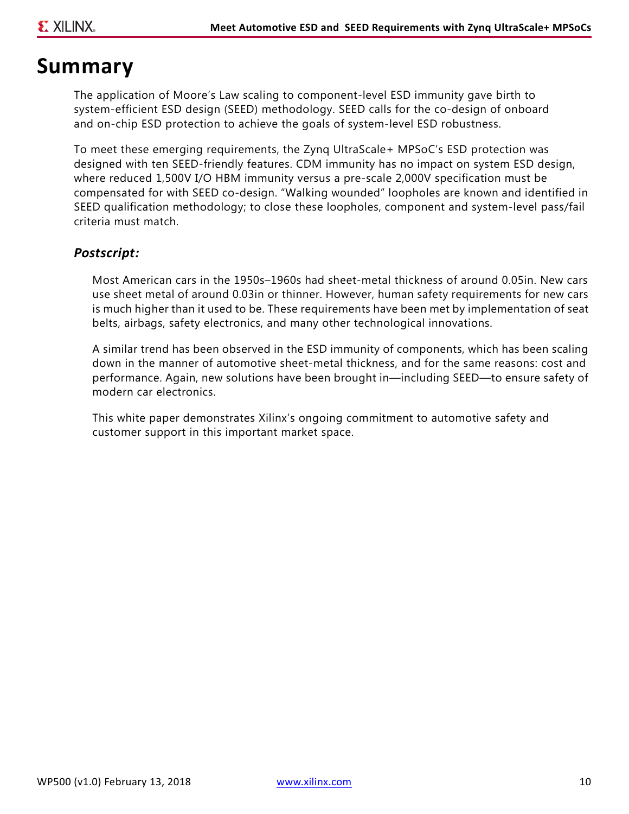#### **Summary**

The application of Moore's Law scaling to component-level ESD immunity gave birth to system-efficient ESD design (SEED) methodology. SEED calls for the co-design of onboard and on-chip ESD protection to achieve the goals of system-level ESD robustness.

To meet these emerging requirements, the Zynq UltraScale+ MPSoC's ESD protection was designed with ten SEED-friendly features. CDM immunity has no impact on system ESD design, where reduced 1,500V I/O HBM immunity versus a pre-scale 2,000V specification must be compensated for with SEED co-design. "Walking wounded" loopholes are known and identified in SEED qualification methodology; to close these loopholes, component and system-level pass/fail criteria must match.

#### *Postscript:*

Most American cars in the 1950s–1960s had sheet-metal thickness of around 0.05in. New cars use sheet metal of around 0.03in or thinner. However, human safety requirements for new cars is much higher than it used to be. These requirements have been met by implementation of seat belts, airbags, safety electronics, and many other technological innovations.

A similar trend has been observed in the ESD immunity of components, which has been scaling down in the manner of automotive sheet-metal thickness, and for the same reasons: cost and performance. Again, new solutions have been brought in—including SEED—to ensure safety of modern car electronics.

This white paper demonstrates Xilinx's ongoing commitment to automotive safety and customer support in this important market space.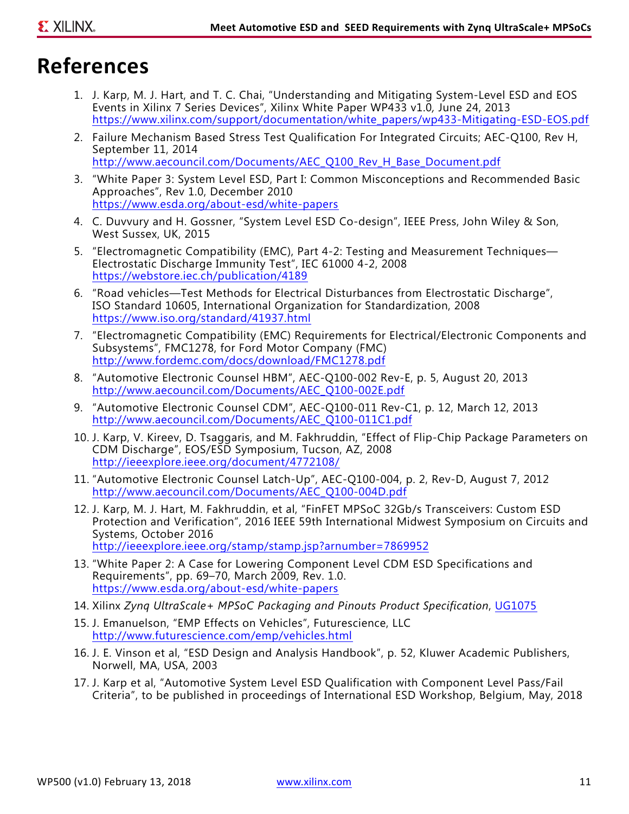## <span id="page-10-11"></span>**References**

- <span id="page-10-0"></span>1. J. Karp, M. J. Hart, and T. C. Chai, "Understanding and Mitigating System-Level ESD and EOS Events in Xilinx 7 Series Devices", Xilinx White Paper WP433 v1.0*,* June 24, 2013 [https://www.xilinx.com/support/documentation/white\\_papers/wp433-Mitigating-ESD-EOS.pdf](https://www.xilinx.com/support/documentation/white_papers/wp433-Mitigating-ESD-EOS.pdf)
- <span id="page-10-6"></span>2. Failure Mechanism Based Stress Test Qualification For Integrated Circuits; AEC-Q100, Rev H, September 11, 2014 [http://www.aecouncil.com/Documents/AEC\\_Q100\\_Rev\\_H\\_Base\\_Document.pdf](http://www.aecouncil.com/Documents/AEC_Q100_Rev_H_Base_Document.pdf)
- <span id="page-10-1"></span>3. "White Paper 3: System Level ESD, Part I: Common Misconceptions and Recommended Basic Approaches", Rev 1.0, December 2010 <https://www.esda.org/about-esd/white-papers>
- <span id="page-10-2"></span>4. C. Duvvury and H. Gossner, "System Level ESD Co-design", IEEE Press, John Wiley & Son, West Sussex, UK, 2015
- <span id="page-10-3"></span>5. "Electromagnetic Compatibility (EMC), Part 4-2: Testing and Measurement Techniques— Electrostatic Discharge Immunity Test", IEC 61000 4-2, 2008 <https://webstore.iec.ch/publication/4189>
- <span id="page-10-4"></span>6. "Road vehicles—Test Methods for Electrical Disturbances from Electrostatic Discharge", ISO Standard 10605, International Organization for Standardization, 2008 <https://www.iso.org/standard/41937.html>
- <span id="page-10-5"></span>7. "Electromagnetic Compatibility (EMC) Requirements for Electrical/Electronic Components and Subsystems", FMC1278, for Ford Motor Company (FMC) <http://www.fordemc.com/docs/download/FMC1278.pdf>
- <span id="page-10-9"></span>8. "Automotive Electronic Counsel HBM", AEC-Q100-002 Rev-E, p. 5, August 20, 2013 [http://www.aecouncil.com/Documents/AEC\\_Q100-002E.pdf](http://www.aecouncil.com/Documents/AEC_Q100-002E.pdf)
- <span id="page-10-7"></span>9. "Automotive Electronic Counsel CDM", AEC-Q100-011 Rev-C1, p. 12, March 12, 2013 [http://www.aecouncil.com/Documents/AEC\\_Q100-011C1.pdf](http://www.aecouncil.com/Documents/AEC_Q100-011C1.pdf)
- <span id="page-10-10"></span>10. J. Karp, V. Kireev, D. Tsaggaris, and M. Fakhruddin, "Effect of Flip-Chip Package Parameters on CDM Discharge", EOS/ESD Symposium, Tucson, AZ, 2008 <http://ieeexplore.ieee.org/document/4772108/>
- <span id="page-10-8"></span>11. "Automotive Electronic Counsel Latch-Up", AEC-Q100-004, p. 2, Rev-D, August 7, 2012 [http://www.aecouncil.com/Documents/AEC\\_Q100-004D.pdf](http://www.aecouncil.com/Documents/AEC_Q100-004D.pdf)
- <span id="page-10-12"></span>12. J. Karp, M. J. Hart, M. Fakhruddin, et al, "FinFET MPSoC 32Gb/s Transceivers: Custom ESD Protection and Verification", 2016 IEEE 59th International Midwest Symposium on Circuits and Systems, October 2016 <http://ieeexplore.ieee.org/stamp/stamp.jsp?arnumber=7869952>
- <span id="page-10-13"></span>13. "White Paper 2: A Case for Lowering Component Level CDM ESD Specifications and Requirements", pp. 69–70, March 2009, Rev. 1.0. <https://www.esda.org/about-esd/white-papers>
- <span id="page-10-14"></span>14. Xilinx *Zynq UltraScale+ MPSoC Packaging and Pinouts Product Specification*, [UG1075](https://www.xilinx.com/support/documentation/user_guides/ug1075-zynq-ultrascale-pkg-pinout.pdf)
- <span id="page-10-17"></span>15. J. Emanuelson, "EMP Effects on Vehicles", Futurescience, LLC <http://www.futurescience.com/emp/vehicles.html>
- <span id="page-10-15"></span>16. J. E. Vinson et al, "ESD Design and Analysis Handbook", p. 52, Kluwer Academic Publishers, Norwell, MA, USA, 2003
- <span id="page-10-16"></span>17. J. Karp et al, "Automotive System Level ESD Qualification with Component Level Pass/Fail Criteria", to be published in proceedings of International ESD Workshop, Belgium, May, 2018